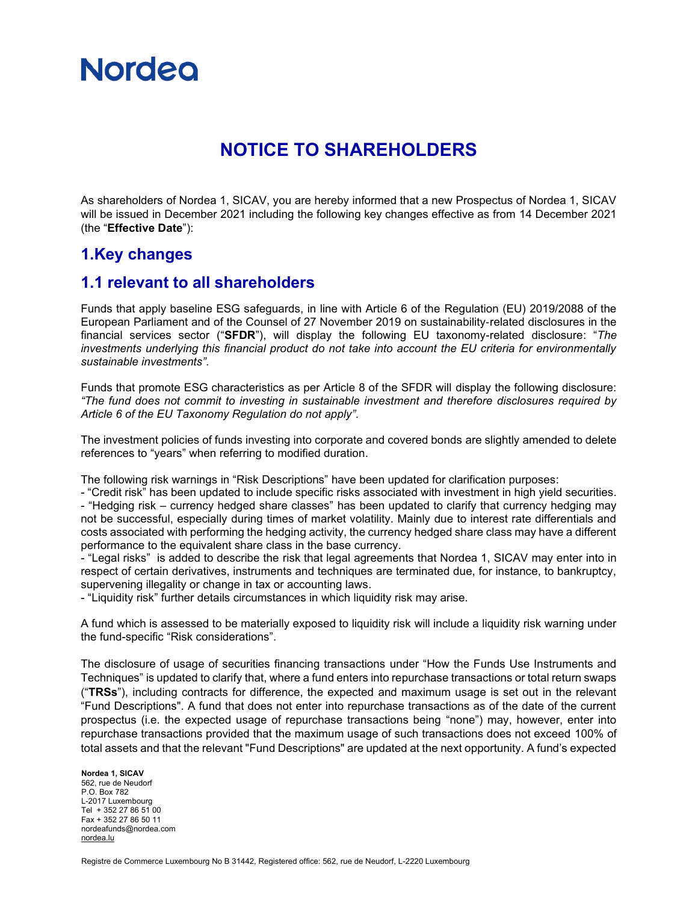

### **NOTICE TO SHAREHOLDERS**

As shareholders of Nordea 1, SICAV, you are hereby informed that a new Prospectus of Nordea 1, SICAV will be issued in December 2021 including the following key changes effective as from 14 December 2021 (the "**Effective Date**"):

#### **1.Key changes**

#### **1.1 relevant to all shareholders**

Funds that apply baseline ESG safeguards, in line with Article 6 of the Regulation (EU) 2019/2088 of the European Parliament and of the Counsel of 27 November 2019 on sustainability‐related disclosures in the financial services sector ("**SFDR**"), will display the following EU taxonomy-related disclosure: "*The investments underlying this financial product do not take into account the EU criteria for environmentally sustainable investments".*

Funds that promote ESG characteristics as per Article 8 of the SFDR will display the following disclosure: *"The fund does not commit to investing in sustainable investment and therefore disclosures required by Article 6 of the EU Taxonomy Regulation do not apply".*

The investment policies of funds investing into corporate and covered bonds are slightly amended to delete references to "years" when referring to modified duration.

The following risk warnings in "Risk Descriptions" have been updated for clarification purposes:

- "Credit risk" has been updated to include specific risks associated with investment in high yield securities. - "Hedging risk – currency hedged share classes" has been updated to clarify that currency hedging may not be successful, especially during times of market volatility. Mainly due to interest rate differentials and costs associated with performing the hedging activity, the currency hedged share class may have a different performance to the equivalent share class in the base currency.

- "Legal risks" is added to describe the risk that legal agreements that Nordea 1, SICAV may enter into in respect of certain derivatives, instruments and techniques are terminated due, for instance, to bankruptcy, supervening illegality or change in tax or accounting laws.

- "Liquidity risk" further details circumstances in which liquidity risk may arise.

A fund which is assessed to be materially exposed to liquidity risk will include a liquidity risk warning under the fund-specific "Risk considerations".

The disclosure of usage of securities financing transactions under "How the Funds Use Instruments and Techniques" is updated to clarify that, where a fund enters into repurchase transactions or total return swaps ("**TRSs**"), including contracts for difference, the expected and maximum usage is set out in the relevant "Fund Descriptions". A fund that does not enter into repurchase transactions as of the date of the current prospectus (i.e. the expected usage of repurchase transactions being "none") may, however, enter into repurchase transactions provided that the maximum usage of such transactions does not exceed 100% of total assets and that the relevant "Fund Descriptions" are updated at the next opportunity. A fund's expected

**Nordea 1, SICAV** 562, rue de Neudorf P.O. Box 782 L-2017 Luxembourg Tel + 352 27 86 51 00 Fax + 352 27 86 50 11 nordeafunds@nordea.com [nordea.lu](http://www.nordea.lu/)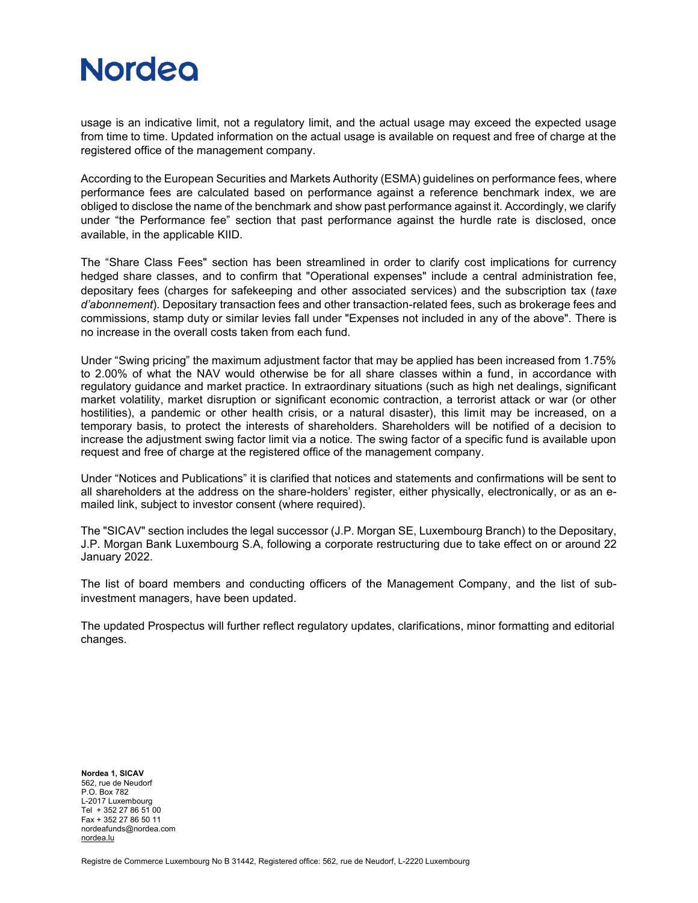## **Nordeo**

usage is an indicative limit, not a regulatory limit, and the actual usage may exceed the expected usage from time to time. Updated information on the actual usage is available on request and free of charge at the registered office of the management company.

According to the European Securities and Markets Authority (ESMA) guidelines on performance fees, where performance fees are calculated based on performance against a reference benchmark index, we are obliged to disclose the name of the benchmark and show past performance against it. Accordingly, we clarify under "the Performance fee" section that past performance against the hurdle rate is disclosed, once available, in the applicable KIID.

The "Share Class Fees" section has been streamlined in order to clarify cost implications for currency hedged share classes, and to confirm that "Operational expenses" include a central administration fee, depositary fees (charges for safekeeping and other associated services) and the subscription tax (*taxe d'abonnement*). Depositary transaction fees and other transaction-related fees, such as brokerage fees and commissions, stamp duty or similar levies fall under "Expenses not included in any of the above". There is no increase in the overall costs taken from each fund.

Under "Swing pricing" the maximum adjustment factor that may be applied has been increased from 1.75% to 2.00% of what the NAV would otherwise be for all share classes within a fund, in accordance with regulatory guidance and market practice. In extraordinary situations (such as high net dealings, significant market volatility, market disruption or significant economic contraction, a terrorist attack or war (or other hostilities), a pandemic or other health crisis, or a natural disaster), this limit may be increased, on a temporary basis, to protect the interests of shareholders. Shareholders will be notified of a decision to increase the adjustment swing factor limit via a notice. The swing factor of a specific fund is available upon request and free of charge at the registered office of the management company.

Under "Notices and Publications" it is clarified that notices and statements and confirmations will be sent to all shareholders at the address on the share-holders' register, either physically, electronically, or as an emailed link, subject to investor consent (where required).

The "SICAV" section includes the legal successor (J.P. Morgan SE, Luxembourg Branch) to the Depositary, J.P. Morgan Bank Luxembourg S.A, following a corporate restructuring due to take effect on or around 22 January 2022.

The list of board members and conducting officers of the Management Company, and the list of subinvestment managers, have been updated.

The updated Prospectus will further reflect regulatory updates, clarifications, minor formatting and editorial changes.

**Nordea 1, SICAV** 562, rue de Neudorf P.O. Box 782 L-2017 Luxembourg Tel + 352 27 86 51 00 Fax + 352 27 86 50 11 nordeafunds@nordea.com [nordea.lu](http://www.nordea.lu/)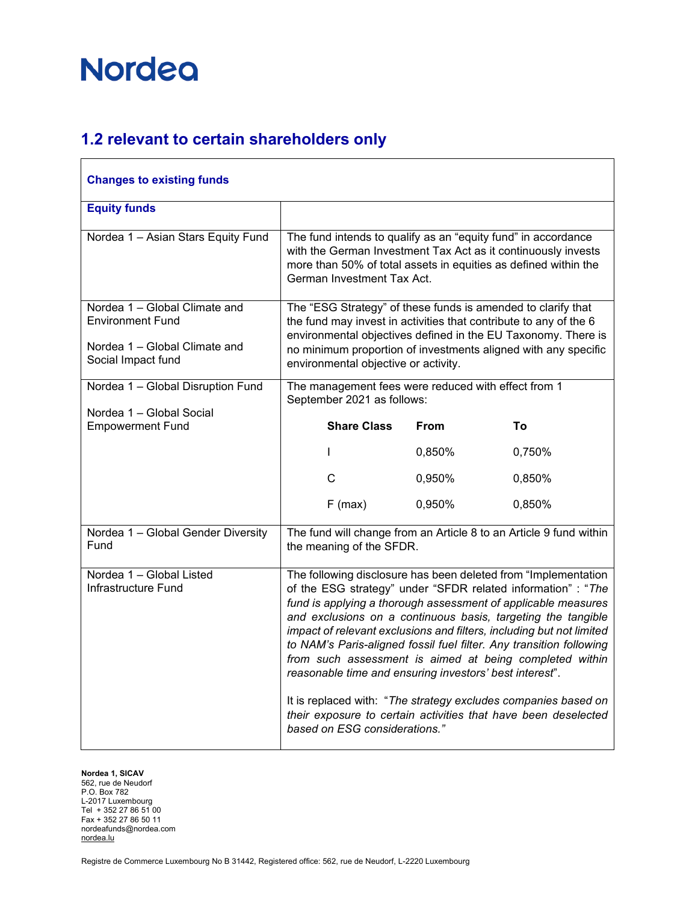#### **1.2 relevant to certain shareholders only**

| <b>Changes to existing funds</b>                                                                                |                                                                                                                                                                                                                                                                                                                                                                                                                                                                                                                                                                                                                                                                                                           |             |                                                                    |
|-----------------------------------------------------------------------------------------------------------------|-----------------------------------------------------------------------------------------------------------------------------------------------------------------------------------------------------------------------------------------------------------------------------------------------------------------------------------------------------------------------------------------------------------------------------------------------------------------------------------------------------------------------------------------------------------------------------------------------------------------------------------------------------------------------------------------------------------|-------------|--------------------------------------------------------------------|
| <b>Equity funds</b>                                                                                             |                                                                                                                                                                                                                                                                                                                                                                                                                                                                                                                                                                                                                                                                                                           |             |                                                                    |
| Nordea 1 - Asian Stars Equity Fund                                                                              | The fund intends to qualify as an "equity fund" in accordance<br>with the German Investment Tax Act as it continuously invests<br>more than 50% of total assets in equities as defined within the<br>German Investment Tax Act.                                                                                                                                                                                                                                                                                                                                                                                                                                                                           |             |                                                                    |
| Nordea 1 - Global Climate and<br><b>Environment Fund</b><br>Nordea 1 - Global Climate and<br>Social Impact fund | The "ESG Strategy" of these funds is amended to clarify that<br>the fund may invest in activities that contribute to any of the 6<br>environmental objectives defined in the EU Taxonomy. There is<br>no minimum proportion of investments aligned with any specific<br>environmental objective or activity.                                                                                                                                                                                                                                                                                                                                                                                              |             |                                                                    |
| Nordea 1 - Global Disruption Fund                                                                               | The management fees were reduced with effect from 1<br>September 2021 as follows:                                                                                                                                                                                                                                                                                                                                                                                                                                                                                                                                                                                                                         |             |                                                                    |
| Nordea 1 - Global Social<br><b>Empowerment Fund</b>                                                             | <b>Share Class</b>                                                                                                                                                                                                                                                                                                                                                                                                                                                                                                                                                                                                                                                                                        | <b>From</b> | Τo                                                                 |
|                                                                                                                 | L                                                                                                                                                                                                                                                                                                                                                                                                                                                                                                                                                                                                                                                                                                         | 0,850%      | 0,750%                                                             |
|                                                                                                                 | C                                                                                                                                                                                                                                                                                                                                                                                                                                                                                                                                                                                                                                                                                                         | 0,950%      | 0,850%                                                             |
|                                                                                                                 | $F$ (max)                                                                                                                                                                                                                                                                                                                                                                                                                                                                                                                                                                                                                                                                                                 | 0,950%      | 0,850%                                                             |
| Nordea 1 - Global Gender Diversity<br>Fund                                                                      | the meaning of the SFDR.                                                                                                                                                                                                                                                                                                                                                                                                                                                                                                                                                                                                                                                                                  |             | The fund will change from an Article 8 to an Article 9 fund within |
| Nordea 1 - Global Listed<br>Infrastructure Fund                                                                 | The following disclosure has been deleted from "Implementation<br>of the ESG strategy" under "SFDR related information" : "The<br>fund is applying a thorough assessment of applicable measures<br>and exclusions on a continuous basis, targeting the tangible<br>impact of relevant exclusions and filters, including but not limited<br>to NAM's Paris-aligned fossil fuel filter. Any transition following<br>from such assessment is aimed at being completed within<br>reasonable time and ensuring investors' best interest".<br>It is replaced with: "The strategy excludes companies based on<br>their exposure to certain activities that have been deselected<br>based on ESG considerations." |             |                                                                    |

**Nordea 1, SICAV** 562, rue de Neudorf P.O. Box 782 L-2017 Luxembourg Tel + 352 27 86 51 00 Fax + 352 27 86 50 11 nordeafunds@nordea.com [nordea.lu](http://www.nordea.lu/)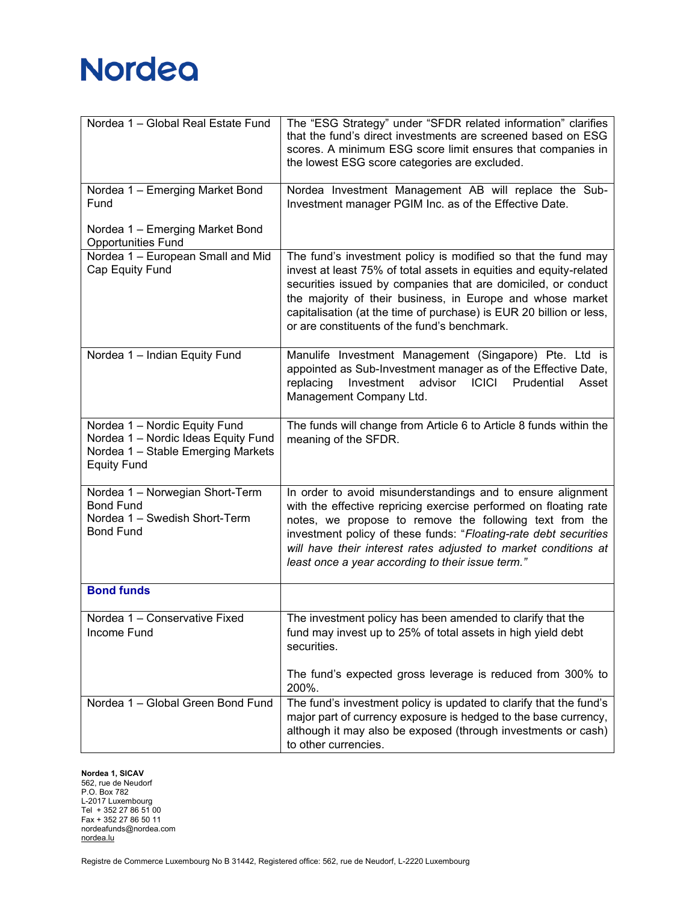| Nordea 1 - Global Real Estate Fund                                                                                               | The "ESG Strategy" under "SFDR related information" clarifies<br>that the fund's direct investments are screened based on ESG<br>scores. A minimum ESG score limit ensures that companies in<br>the lowest ESG score categories are excluded.                                                                                                                                             |
|----------------------------------------------------------------------------------------------------------------------------------|-------------------------------------------------------------------------------------------------------------------------------------------------------------------------------------------------------------------------------------------------------------------------------------------------------------------------------------------------------------------------------------------|
| Nordea 1 - Emerging Market Bond<br>Fund                                                                                          | Nordea Investment Management AB will replace the Sub-<br>Investment manager PGIM Inc. as of the Effective Date.                                                                                                                                                                                                                                                                           |
| Nordea 1 - Emerging Market Bond<br><b>Opportunities Fund</b>                                                                     |                                                                                                                                                                                                                                                                                                                                                                                           |
| Nordea 1 - European Small and Mid<br>Cap Equity Fund                                                                             | The fund's investment policy is modified so that the fund may<br>invest at least 75% of total assets in equities and equity-related<br>securities issued by companies that are domiciled, or conduct<br>the majority of their business, in Europe and whose market<br>capitalisation (at the time of purchase) is EUR 20 billion or less,<br>or are constituents of the fund's benchmark. |
| Nordea 1 - Indian Equity Fund                                                                                                    | Manulife Investment Management (Singapore) Pte. Ltd is<br>appointed as Sub-Investment manager as of the Effective Date,<br>advisor ICICI<br>Investment<br>Prudential<br>replacing<br>Asset<br>Management Company Ltd.                                                                                                                                                                     |
| Nordea 1 - Nordic Equity Fund<br>Nordea 1 - Nordic Ideas Equity Fund<br>Nordea 1 - Stable Emerging Markets<br><b>Equity Fund</b> | The funds will change from Article 6 to Article 8 funds within the<br>meaning of the SFDR.                                                                                                                                                                                                                                                                                                |
| Nordea 1 - Norwegian Short-Term<br><b>Bond Fund</b><br>Nordea 1 - Swedish Short-Term<br><b>Bond Fund</b>                         | In order to avoid misunderstandings and to ensure alignment<br>with the effective repricing exercise performed on floating rate<br>notes, we propose to remove the following text from the<br>investment policy of these funds: "Floating-rate debt securities<br>will have their interest rates adjusted to market conditions at<br>least once a year according to their issue term."    |
| <b>Bond funds</b>                                                                                                                |                                                                                                                                                                                                                                                                                                                                                                                           |
| Nordea 1 - Conservative Fixed<br>Income Fund                                                                                     | The investment policy has been amended to clarify that the<br>fund may invest up to 25% of total assets in high yield debt<br>securities.                                                                                                                                                                                                                                                 |
|                                                                                                                                  | The fund's expected gross leverage is reduced from 300% to<br>200%.                                                                                                                                                                                                                                                                                                                       |
| Nordea 1 - Global Green Bond Fund                                                                                                | The fund's investment policy is updated to clarify that the fund's<br>major part of currency exposure is hedged to the base currency,<br>although it may also be exposed (through investments or cash)<br>to other currencies.                                                                                                                                                            |

**Nordea 1, SICAV**

562, rue de Neudorf P.O. Box 782 L-2017 Luxembourg Tel + 352 27 86 51 00 Fax + 352 27 86 50 11 nordeafunds@nordea.com [nordea.lu](http://www.nordea.lu/)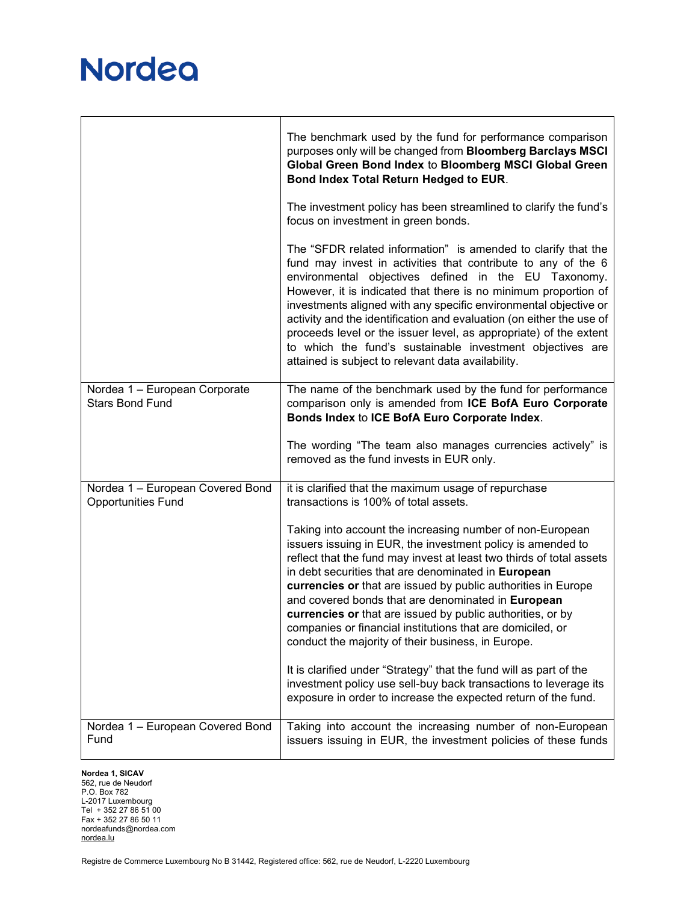|                                                               | The benchmark used by the fund for performance comparison<br>purposes only will be changed from Bloomberg Barclays MSCI<br>Global Green Bond Index to Bloomberg MSCI Global Green<br>Bond Index Total Return Hedged to EUR.                                                                                                                                                                                                                                                                                                                                                                   |  |
|---------------------------------------------------------------|-----------------------------------------------------------------------------------------------------------------------------------------------------------------------------------------------------------------------------------------------------------------------------------------------------------------------------------------------------------------------------------------------------------------------------------------------------------------------------------------------------------------------------------------------------------------------------------------------|--|
|                                                               | The investment policy has been streamlined to clarify the fund's<br>focus on investment in green bonds.                                                                                                                                                                                                                                                                                                                                                                                                                                                                                       |  |
|                                                               | The "SFDR related information" is amended to clarify that the<br>fund may invest in activities that contribute to any of the 6<br>environmental objectives defined in the EU Taxonomy.<br>However, it is indicated that there is no minimum proportion of<br>investments aligned with any specific environmental objective or<br>activity and the identification and evaluation (on either the use of<br>proceeds level or the issuer level, as appropriate) of the extent<br>to which the fund's sustainable investment objectives are<br>attained is subject to relevant data availability. |  |
| Nordea 1 - European Corporate<br><b>Stars Bond Fund</b>       | The name of the benchmark used by the fund for performance<br>comparison only is amended from ICE BofA Euro Corporate<br>Bonds Index to ICE BofA Euro Corporate Index.                                                                                                                                                                                                                                                                                                                                                                                                                        |  |
|                                                               | The wording "The team also manages currencies actively" is<br>removed as the fund invests in EUR only.                                                                                                                                                                                                                                                                                                                                                                                                                                                                                        |  |
| Nordea 1 - European Covered Bond<br><b>Opportunities Fund</b> | it is clarified that the maximum usage of repurchase<br>transactions is 100% of total assets.                                                                                                                                                                                                                                                                                                                                                                                                                                                                                                 |  |
|                                                               | Taking into account the increasing number of non-European<br>issuers issuing in EUR, the investment policy is amended to<br>reflect that the fund may invest at least two thirds of total assets<br>in debt securities that are denominated in European<br>currencies or that are issued by public authorities in Europe<br>and covered bonds that are denominated in European<br>currencies or that are issued by public authorities, or by<br>companies or financial institutions that are domiciled, or<br>conduct the majority of their business, in Europe.                              |  |
|                                                               | It is clarified under "Strategy" that the fund will as part of the<br>investment policy use sell-buy back transactions to leverage its<br>exposure in order to increase the expected return of the fund.                                                                                                                                                                                                                                                                                                                                                                                      |  |
| Nordea 1 - European Covered Bond<br>Fund                      | Taking into account the increasing number of non-European<br>issuers issuing in EUR, the investment policies of these funds                                                                                                                                                                                                                                                                                                                                                                                                                                                                   |  |

#### **Nordea 1, SICAV**

562, rue de Neudorf P.O. Box 782 L-2017 Luxembourg Tel + 352 27 86 51 00 Fax + 352 27 86 50 11 nordeafunds@nordea.com [nordea.lu](http://www.nordea.lu/)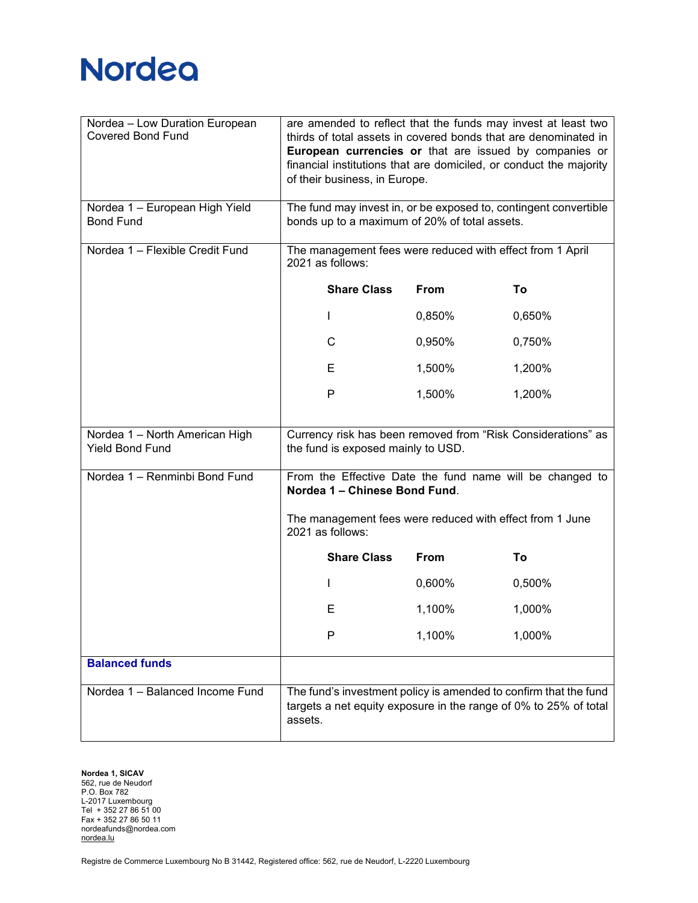| Nordea - Low Duration European<br><b>Covered Bond Fund</b> | are amended to reflect that the funds may invest at least two<br>thirds of total assets in covered bonds that are denominated in<br>European currencies or that are issued by companies or<br>financial institutions that are domiciled, or conduct the majority<br>of their business, in Europe. |             |                                                                                                                                      |
|------------------------------------------------------------|---------------------------------------------------------------------------------------------------------------------------------------------------------------------------------------------------------------------------------------------------------------------------------------------------|-------------|--------------------------------------------------------------------------------------------------------------------------------------|
| Nordea 1 - European High Yield<br><b>Bond Fund</b>         | The fund may invest in, or be exposed to, contingent convertible<br>bonds up to a maximum of 20% of total assets.                                                                                                                                                                                 |             |                                                                                                                                      |
| Nordea 1 - Flexible Credit Fund                            | The management fees were reduced with effect from 1 April<br>2021 as follows:                                                                                                                                                                                                                     |             |                                                                                                                                      |
|                                                            | <b>Share Class</b>                                                                                                                                                                                                                                                                                | <b>From</b> | To                                                                                                                                   |
|                                                            | $\mathbf{I}$                                                                                                                                                                                                                                                                                      | 0,850%      | 0,650%                                                                                                                               |
|                                                            | C                                                                                                                                                                                                                                                                                                 | 0,950%      | 0,750%                                                                                                                               |
|                                                            | Е                                                                                                                                                                                                                                                                                                 | 1,500%      | 1,200%                                                                                                                               |
|                                                            | $\mathsf{P}$                                                                                                                                                                                                                                                                                      | 1,500%      | 1,200%                                                                                                                               |
| Nordea 1 - North American High<br><b>Yield Bond Fund</b>   | the fund is exposed mainly to USD.                                                                                                                                                                                                                                                                |             | Currency risk has been removed from "Risk Considerations" as                                                                         |
| Nordea 1 - Renminbi Bond Fund                              | From the Effective Date the fund name will be changed to<br>Nordea 1 - Chinese Bond Fund.<br>The management fees were reduced with effect from 1 June<br>2021 as follows:                                                                                                                         |             |                                                                                                                                      |
|                                                            |                                                                                                                                                                                                                                                                                                   |             |                                                                                                                                      |
|                                                            | <b>Share Class</b>                                                                                                                                                                                                                                                                                | <b>From</b> | To                                                                                                                                   |
|                                                            | $\mathbf{I}$                                                                                                                                                                                                                                                                                      | 0,600%      | 0,500%                                                                                                                               |
|                                                            | Е                                                                                                                                                                                                                                                                                                 | 1,100%      | 1,000%                                                                                                                               |
|                                                            | P                                                                                                                                                                                                                                                                                                 | 1,100%      | 1,000%                                                                                                                               |
| <b>Balanced funds</b>                                      |                                                                                                                                                                                                                                                                                                   |             |                                                                                                                                      |
| Nordea 1 - Balanced Income Fund                            | assets.                                                                                                                                                                                                                                                                                           |             | The fund's investment policy is amended to confirm that the fund<br>targets a net equity exposure in the range of 0% to 25% of total |

**Nordea 1, SICAV** 562, rue de Neudorf P.O. Box 782 L-2017 Luxembourg Tel + 352 27 86 51 00 Fax + 352 27 86 50 11 nordeafunds@nordea.com [nordea.lu](http://www.nordea.lu/)